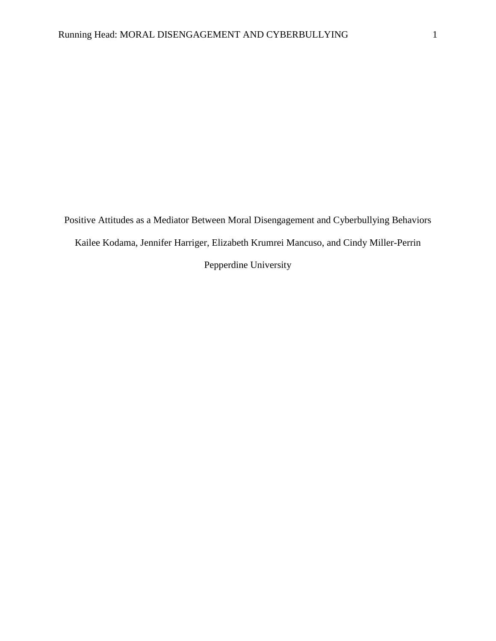Positive Attitudes as a Mediator Between Moral Disengagement and Cyberbullying Behaviors Kailee Kodama, Jennifer Harriger, Elizabeth Krumrei Mancuso, and Cindy Miller-Perrin Pepperdine University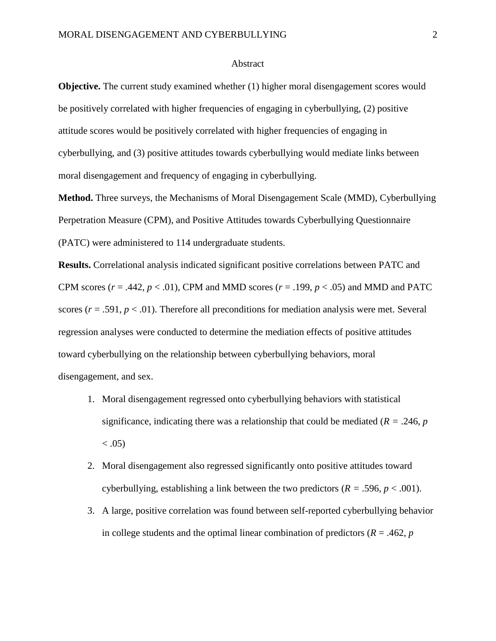#### Abstract

**Objective.** The current study examined whether (1) higher moral disengagement scores would be positively correlated with higher frequencies of engaging in cyberbullying, (2) positive attitude scores would be positively correlated with higher frequencies of engaging in cyberbullying, and (3) positive attitudes towards cyberbullying would mediate links between moral disengagement and frequency of engaging in cyberbullying.

**Method.** Three surveys, the Mechanisms of Moral Disengagement Scale (MMD), Cyberbullying Perpetration Measure (CPM), and Positive Attitudes towards Cyberbullying Questionnaire (PATC) were administered to 114 undergraduate students.

**Results.** Correlational analysis indicated significant positive correlations between PATC and CPM scores ( $r = .442$ ,  $p < .01$ ), CPM and MMD scores ( $r = .199$ ,  $p < .05$ ) and MMD and PATC scores ( $r = .591$ ,  $p < .01$ ). Therefore all preconditions for mediation analysis were met. Several regression analyses were conducted to determine the mediation effects of positive attitudes toward cyberbullying on the relationship between cyberbullying behaviors, moral disengagement, and sex.

- 1. Moral disengagement regressed onto cyberbullying behaviors with statistical significance, indicating there was a relationship that could be mediated  $(R = .246, p)$  $< .05)$
- 2. Moral disengagement also regressed significantly onto positive attitudes toward cyberbullying, establishing a link between the two predictors  $(R = .596, p < .001)$ .
- 3. A large, positive correlation was found between self-reported cyberbullying behavior in college students and the optimal linear combination of predictors  $(R = .462, p)$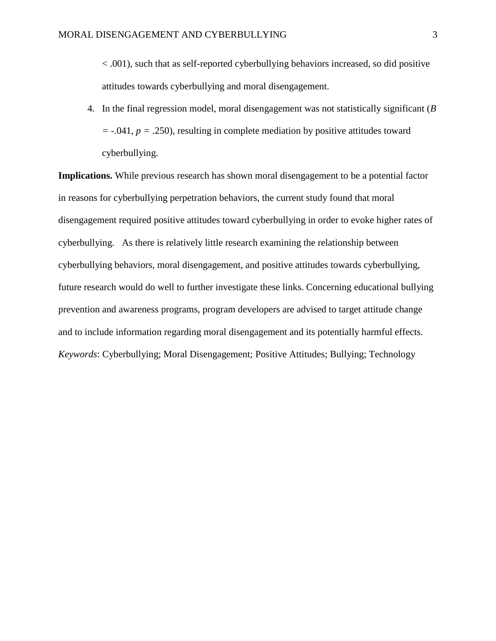< .001), such that as self-reported cyberbullying behaviors increased, so did positive attitudes towards cyberbullying and moral disengagement.

4. In the final regression model, moral disengagement was not statistically significant (*B =* -.041, *p =* .250), resulting in complete mediation by positive attitudes toward cyberbullying.

**Implications.** While previous research has shown moral disengagement to be a potential factor in reasons for cyberbullying perpetration behaviors, the current study found that moral disengagement required positive attitudes toward cyberbullying in order to evoke higher rates of cyberbullying. As there is relatively little research examining the relationship between cyberbullying behaviors, moral disengagement, and positive attitudes towards cyberbullying, future research would do well to further investigate these links. Concerning educational bullying prevention and awareness programs, program developers are advised to target attitude change and to include information regarding moral disengagement and its potentially harmful effects. *Keywords*: Cyberbullying; Moral Disengagement; Positive Attitudes; Bullying; Technology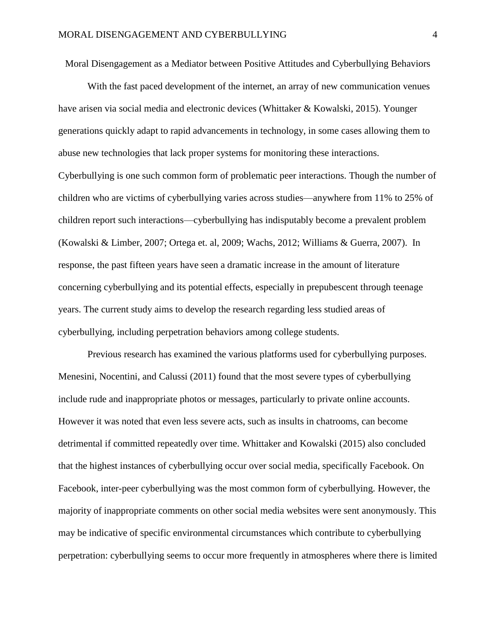Moral Disengagement as a Mediator between Positive Attitudes and Cyberbullying Behaviors

With the fast paced development of the internet, an array of new communication venues have arisen via social media and electronic devices (Whittaker & Kowalski, 2015). Younger generations quickly adapt to rapid advancements in technology, in some cases allowing them to abuse new technologies that lack proper systems for monitoring these interactions. Cyberbullying is one such common form of problematic peer interactions. Though the number of children who are victims of cyberbullying varies across studies—anywhere from 11% to 25% of children report such interactions—cyberbullying has indisputably become a prevalent problem (Kowalski & Limber, 2007; Ortega et. al, 2009; Wachs, 2012; Williams & Guerra, 2007). In response, the past fifteen years have seen a dramatic increase in the amount of literature concerning cyberbullying and its potential effects, especially in prepubescent through teenage years. The current study aims to develop the research regarding less studied areas of cyberbullying, including perpetration behaviors among college students.

Previous research has examined the various platforms used for cyberbullying purposes. Menesini, Nocentini, and Calussi (2011) found that the most severe types of cyberbullying include rude and inappropriate photos or messages, particularly to private online accounts. However it was noted that even less severe acts, such as insults in chatrooms, can become detrimental if committed repeatedly over time. Whittaker and Kowalski (2015) also concluded that the highest instances of cyberbullying occur over social media, specifically Facebook. On Facebook, inter-peer cyberbullying was the most common form of cyberbullying. However, the majority of inappropriate comments on other social media websites were sent anonymously. This may be indicative of specific environmental circumstances which contribute to cyberbullying perpetration: cyberbullying seems to occur more frequently in atmospheres where there is limited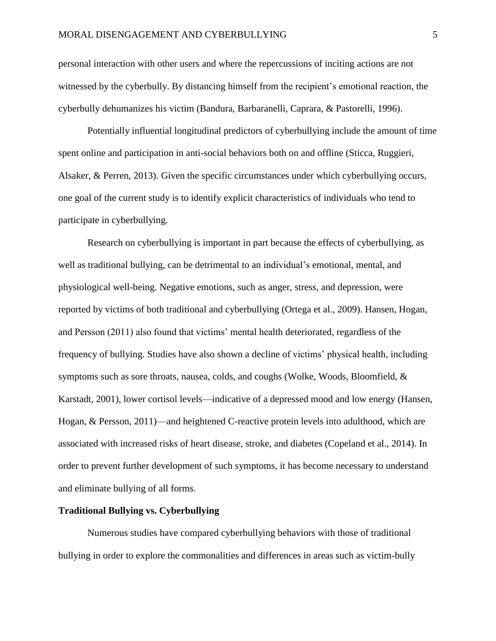personal interaction with other users and where the repercussions of inciting actions are not witnessed by the cyberbully. By distancing himself from the recipient's emotional reaction, the cyberbully dehumanizes his victim (Bandura, Barbaranelli, Caprara, & Pastorelli, 1996).

Potentially influential longitudinal predictors of cyberbullying include the amount of time spent online and participation in anti-social behaviors both on and offline (Sticca, Ruggieri, Alsaker, & Perren, 2013). Given the specific circumstances under which cyberbullying occurs, one goal of the current study is to identify explicit characteristics of individuals who tend to participate in cyberbullying.

Research on cyberbullying is important in part because the effects of cyberbullying, as well as traditional bullying, can be detrimental to an individual's emotional, mental, and physiological well-being. Negative emotions, such as anger, stress, and depression, were reported by victims of both traditional and cyberbullying (Ortega et al., 2009). Hansen, Hogan, and Persson (2011) also found that victims' mental health deteriorated, regardless of the frequency of bullying. Studies have also shown a decline of victims' physical health, including symptoms such as sore throats, nausea, colds, and coughs (Wolke, Woods, Bloomfield, & Karstadt, 2001), lower cortisol levels—indicative of a depressed mood and low energy (Hansen, Hogan, & Persson, 2011)—and heightened C-reactive protein levels into adulthood, which are associated with increased risks of heart disease, stroke, and diabetes (Copeland et al., 2014). In order to prevent further development of such symptoms, it has become necessary to understand and eliminate bullying of all forms.

# **Traditional Bullying vs. Cyberbullying**

Numerous studies have compared cyberbullying behaviors with those of traditional bullying in order to explore the commonalities and differences in areas such as victim-bully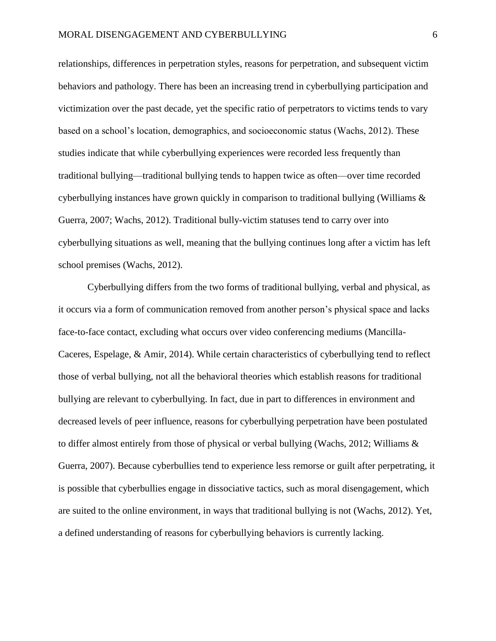relationships, differences in perpetration styles, reasons for perpetration, and subsequent victim behaviors and pathology. There has been an increasing trend in cyberbullying participation and victimization over the past decade, yet the specific ratio of perpetrators to victims tends to vary based on a school's location, demographics, and socioeconomic status (Wachs, 2012). These studies indicate that while cyberbullying experiences were recorded less frequently than traditional bullying—traditional bullying tends to happen twice as often—over time recorded cyberbullying instances have grown quickly in comparison to traditional bullying (Williams & Guerra, 2007; Wachs, 2012). Traditional bully-victim statuses tend to carry over into cyberbullying situations as well, meaning that the bullying continues long after a victim has left school premises (Wachs, 2012).

Cyberbullying differs from the two forms of traditional bullying, verbal and physical, as it occurs via a form of communication removed from another person's physical space and lacks face-to-face contact, excluding what occurs over video conferencing mediums (Mancilla-Caceres, Espelage, & Amir, 2014). While certain characteristics of cyberbullying tend to reflect those of verbal bullying, not all the behavioral theories which establish reasons for traditional bullying are relevant to cyberbullying. In fact, due in part to differences in environment and decreased levels of peer influence, reasons for cyberbullying perpetration have been postulated to differ almost entirely from those of physical or verbal bullying (Wachs, 2012; Williams & Guerra, 2007). Because cyberbullies tend to experience less remorse or guilt after perpetrating, it is possible that cyberbullies engage in dissociative tactics, such as moral disengagement, which are suited to the online environment, in ways that traditional bullying is not (Wachs, 2012). Yet, a defined understanding of reasons for cyberbullying behaviors is currently lacking.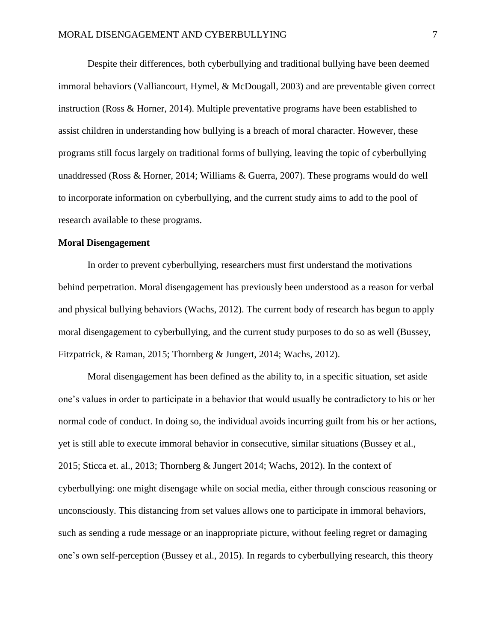Despite their differences, both cyberbullying and traditional bullying have been deemed immoral behaviors (Valliancourt, Hymel, & McDougall, 2003) and are preventable given correct instruction (Ross & Horner, 2014). Multiple preventative programs have been established to assist children in understanding how bullying is a breach of moral character. However, these programs still focus largely on traditional forms of bullying, leaving the topic of cyberbullying unaddressed (Ross & Horner, 2014; Williams & Guerra, 2007). These programs would do well to incorporate information on cyberbullying, and the current study aims to add to the pool of research available to these programs.

## **Moral Disengagement**

In order to prevent cyberbullying, researchers must first understand the motivations behind perpetration. Moral disengagement has previously been understood as a reason for verbal and physical bullying behaviors (Wachs, 2012). The current body of research has begun to apply moral disengagement to cyberbullying, and the current study purposes to do so as well (Bussey, Fitzpatrick, & Raman, 2015; Thornberg & Jungert, 2014; Wachs, 2012).

Moral disengagement has been defined as the ability to, in a specific situation, set aside one's values in order to participate in a behavior that would usually be contradictory to his or her normal code of conduct. In doing so, the individual avoids incurring guilt from his or her actions, yet is still able to execute immoral behavior in consecutive, similar situations (Bussey et al., 2015; Sticca et. al., 2013; Thornberg & Jungert 2014; Wachs, 2012). In the context of cyberbullying: one might disengage while on social media, either through conscious reasoning or unconsciously. This distancing from set values allows one to participate in immoral behaviors, such as sending a rude message or an inappropriate picture, without feeling regret or damaging one's own self-perception (Bussey et al., 2015). In regards to cyberbullying research, this theory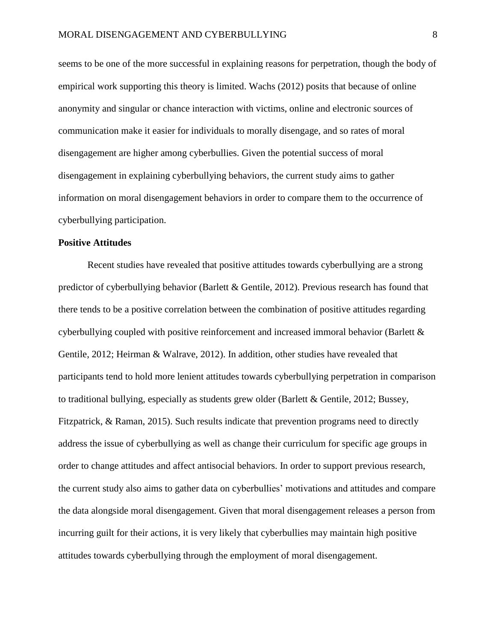seems to be one of the more successful in explaining reasons for perpetration, though the body of empirical work supporting this theory is limited. Wachs (2012) posits that because of online anonymity and singular or chance interaction with victims, online and electronic sources of communication make it easier for individuals to morally disengage, and so rates of moral disengagement are higher among cyberbullies. Given the potential success of moral disengagement in explaining cyberbullying behaviors, the current study aims to gather information on moral disengagement behaviors in order to compare them to the occurrence of cyberbullying participation.

#### **Positive Attitudes**

Recent studies have revealed that positive attitudes towards cyberbullying are a strong predictor of cyberbullying behavior (Barlett & Gentile, 2012). Previous research has found that there tends to be a positive correlation between the combination of positive attitudes regarding cyberbullying coupled with positive reinforcement and increased immoral behavior (Barlett & Gentile, 2012; Heirman & Walrave, 2012). In addition, other studies have revealed that participants tend to hold more lenient attitudes towards cyberbullying perpetration in comparison to traditional bullying, especially as students grew older (Barlett & Gentile, 2012; Bussey, Fitzpatrick, & Raman, 2015). Such results indicate that prevention programs need to directly address the issue of cyberbullying as well as change their curriculum for specific age groups in order to change attitudes and affect antisocial behaviors. In order to support previous research, the current study also aims to gather data on cyberbullies' motivations and attitudes and compare the data alongside moral disengagement. Given that moral disengagement releases a person from incurring guilt for their actions, it is very likely that cyberbullies may maintain high positive attitudes towards cyberbullying through the employment of moral disengagement.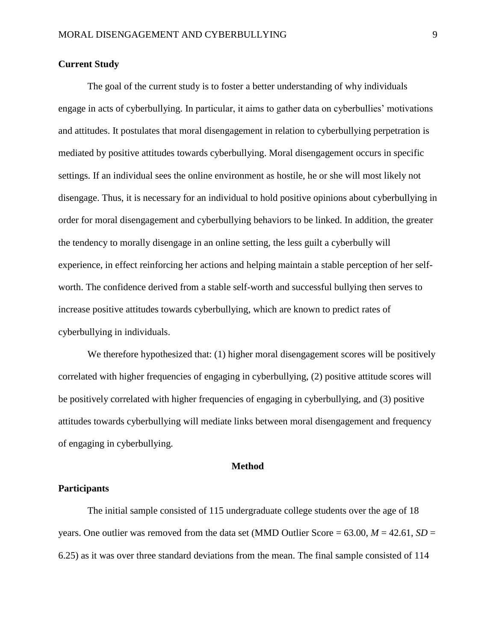# **Current Study**

The goal of the current study is to foster a better understanding of why individuals engage in acts of cyberbullying. In particular, it aims to gather data on cyberbullies' motivations and attitudes. It postulates that moral disengagement in relation to cyberbullying perpetration is mediated by positive attitudes towards cyberbullying. Moral disengagement occurs in specific settings. If an individual sees the online environment as hostile, he or she will most likely not disengage. Thus, it is necessary for an individual to hold positive opinions about cyberbullying in order for moral disengagement and cyberbullying behaviors to be linked. In addition, the greater the tendency to morally disengage in an online setting, the less guilt a cyberbully will experience, in effect reinforcing her actions and helping maintain a stable perception of her selfworth. The confidence derived from a stable self-worth and successful bullying then serves to increase positive attitudes towards cyberbullying, which are known to predict rates of cyberbullying in individuals.

We therefore hypothesized that: (1) higher moral disengagement scores will be positively correlated with higher frequencies of engaging in cyberbullying, (2) positive attitude scores will be positively correlated with higher frequencies of engaging in cyberbullying, and (3) positive attitudes towards cyberbullying will mediate links between moral disengagement and frequency of engaging in cyberbullying.

### **Method**

# **Participants**

The initial sample consisted of 115 undergraduate college students over the age of 18 years. One outlier was removed from the data set (MMD Outlier Score =  $63.00, M = 42.61, SD =$ 6.25) as it was over three standard deviations from the mean. The final sample consisted of 114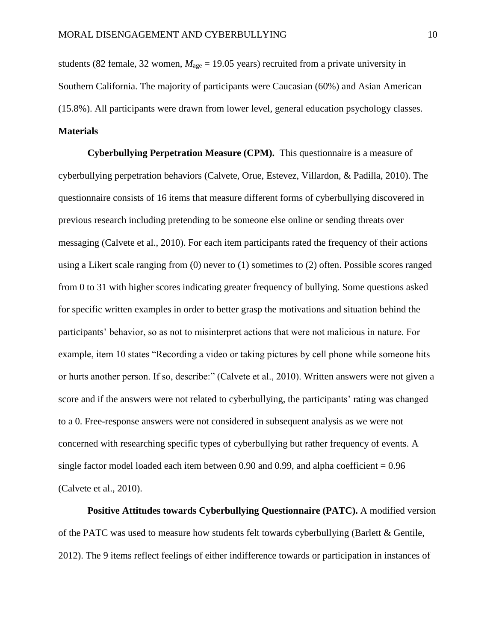students (82 female, 32 women,  $M_{\text{age}} = 19.05$  years) recruited from a private university in Southern California. The majority of participants were Caucasian (60%) and Asian American (15.8%). All participants were drawn from lower level, general education psychology classes. **Materials**

**Cyberbullying Perpetration Measure (CPM).** This questionnaire is a measure of cyberbullying perpetration behaviors (Calvete, Orue, Estevez, Villardon, & Padilla, 2010). The questionnaire consists of 16 items that measure different forms of cyberbullying discovered in previous research including pretending to be someone else online or sending threats over messaging (Calvete et al., 2010). For each item participants rated the frequency of their actions using a Likert scale ranging from (0) never to (1) sometimes to (2) often. Possible scores ranged from 0 to 31 with higher scores indicating greater frequency of bullying. Some questions asked for specific written examples in order to better grasp the motivations and situation behind the participants' behavior, so as not to misinterpret actions that were not malicious in nature. For example, item 10 states "Recording a video or taking pictures by cell phone while someone hits or hurts another person. If so, describe:" (Calvete et al., 2010). Written answers were not given a score and if the answers were not related to cyberbullying, the participants' rating was changed to a 0. Free-response answers were not considered in subsequent analysis as we were not concerned with researching specific types of cyberbullying but rather frequency of events. A single factor model loaded each item between 0.90 and 0.99, and alpha coefficient  $= 0.96$ (Calvete et al., 2010).

**Positive Attitudes towards Cyberbullying Questionnaire (PATC).** A modified version of the PATC was used to measure how students felt towards cyberbullying (Barlett & Gentile, 2012). The 9 items reflect feelings of either indifference towards or participation in instances of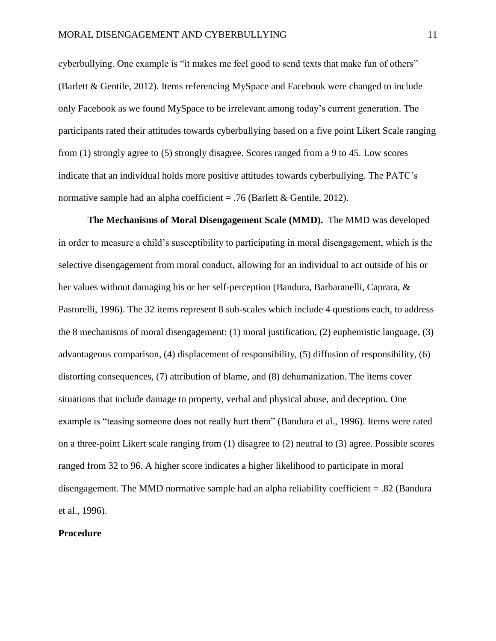cyberbullying. One example is "it makes me feel good to send texts that make fun of others" (Barlett & Gentile, 2012). Items referencing MySpace and Facebook were changed to include only Facebook as we found MySpace to be irrelevant among today's current generation. The participants rated their attitudes towards cyberbullying based on a five point Likert Scale ranging from (1) strongly agree to (5) strongly disagree. Scores ranged from a 9 to 45. Low scores indicate that an individual holds more positive attitudes towards cyberbullying. The PATC's normative sample had an alpha coefficient  $= .76$  (Barlett & Gentile, 2012).

**The Mechanisms of Moral Disengagement Scale (MMD).** The MMD was developed in order to measure a child's susceptibility to participating in moral disengagement, which is the selective disengagement from moral conduct, allowing for an individual to act outside of his or her values without damaging his or her self-perception (Bandura, Barbaranelli, Caprara, & Pastorelli, 1996). The 32 items represent 8 sub-scales which include 4 questions each, to address the 8 mechanisms of moral disengagement: (1) moral justification, (2) euphemistic language, (3) advantageous comparison, (4) displacement of responsibility, (5) diffusion of responsibility, (6) distorting consequences, (7) attribution of blame, and (8) dehumanization. The items cover situations that include damage to property, verbal and physical abuse, and deception. One example is "teasing someone does not really hurt them" (Bandura et al., 1996). Items were rated on a three-point Likert scale ranging from (1) disagree to (2) neutral to (3) agree. Possible scores ranged from 32 to 96. A higher score indicates a higher likelihood to participate in moral disengagement. The MMD normative sample had an alpha reliability coefficient = .82 (Bandura et al., 1996).

# **Procedure**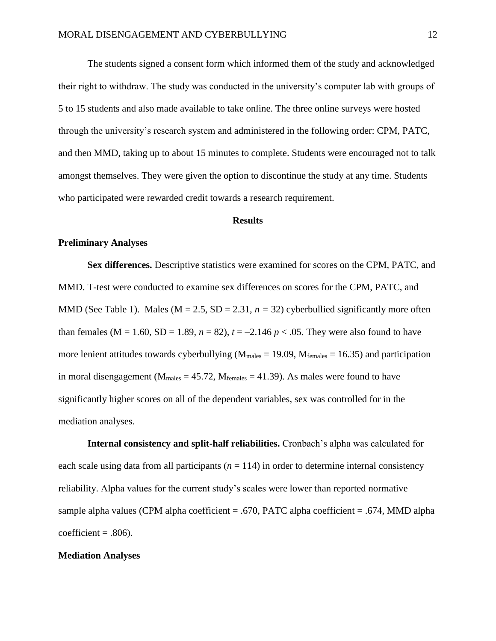The students signed a consent form which informed them of the study and acknowledged their right to withdraw. The study was conducted in the university's computer lab with groups of 5 to 15 students and also made available to take online. The three online surveys were hosted through the university's research system and administered in the following order: CPM, PATC, and then MMD, taking up to about 15 minutes to complete. Students were encouraged not to talk amongst themselves. They were given the option to discontinue the study at any time. Students who participated were rewarded credit towards a research requirement.

#### **Results**

## **Preliminary Analyses**

**Sex differences.** Descriptive statistics were examined for scores on the CPM, PATC, and MMD. T-test were conducted to examine sex differences on scores for the CPM, PATC, and MMD (See Table 1). Males ( $M = 2.5$ ,  $SD = 2.31$ ,  $n = 32$ ) cyberbullied significantly more often than females (M = 1.60, SD = 1.89,  $n = 82$ ),  $t = -2.146 p < .05$ . They were also found to have more lenient attitudes towards cyberbullying ( $M_{\text{males}} = 19.09$ ,  $M_{\text{females}} = 16.35$ ) and participation in moral disengagement ( $M_{\text{males}} = 45.72$ ,  $M_{\text{females}} = 41.39$ ). As males were found to have significantly higher scores on all of the dependent variables, sex was controlled for in the mediation analyses.

**Internal consistency and split-half reliabilities.** Cronbach's alpha was calculated for each scale using data from all participants  $(n = 114)$  in order to determine internal consistency reliability. Alpha values for the current study's scales were lower than reported normative sample alpha values (CPM alpha coefficient = .670, PATC alpha coefficient = .674, MMD alpha coefficient =  $.806$ ).

#### **Mediation Analyses**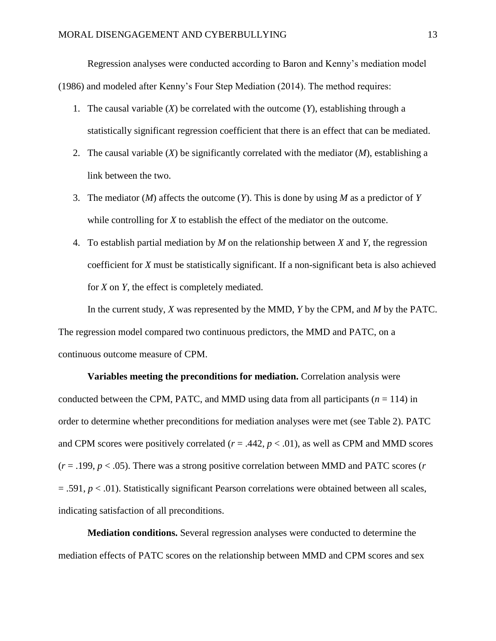Regression analyses were conducted according to Baron and Kenny's mediation model (1986) and modeled after Kenny's Four Step Mediation (2014). The method requires:

- 1. The causal variable (*X*) be correlated with the outcome (*Y*), establishing through a statistically significant regression coefficient that there is an effect that can be mediated.
- 2. The causal variable (*X*) be significantly correlated with the mediator (*M*), establishing a link between the two.
- 3. The mediator (*M*) affects the outcome (*Y*). This is done by using *M* as a predictor of *Y* while controlling for *X* to establish the effect of the mediator on the outcome.
- 4. To establish partial mediation by *M* on the relationship between *X* and *Y*, the regression coefficient for *X* must be statistically significant. If a non-significant beta is also achieved for *X* on *Y,* the effect is completely mediated.

In the current study, *X* was represented by the MMD, *Y* by the CPM, and *M* by the PATC. The regression model compared two continuous predictors, the MMD and PATC, on a continuous outcome measure of CPM.

**Variables meeting the preconditions for mediation.** Correlation analysis were conducted between the CPM, PATC, and MMD using data from all participants ( $n = 114$ ) in order to determine whether preconditions for mediation analyses were met (see Table 2). PATC and CPM scores were positively correlated  $(r = .442, p < .01)$ , as well as CPM and MMD scores  $(r = .199, p < .05)$ . There was a strong positive correlation between MMD and PATC scores (*r*  $= .591, p < .01$ ). Statistically significant Pearson correlations were obtained between all scales, indicating satisfaction of all preconditions.

**Mediation conditions.** Several regression analyses were conducted to determine the mediation effects of PATC scores on the relationship between MMD and CPM scores and sex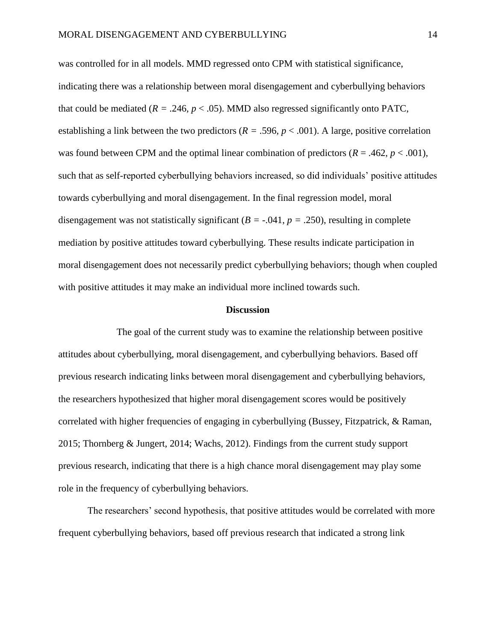was controlled for in all models. MMD regressed onto CPM with statistical significance, indicating there was a relationship between moral disengagement and cyberbullying behaviors that could be mediated ( $R = .246$ ,  $p < .05$ ). MMD also regressed significantly onto PATC, establishing a link between the two predictors (*R =* .596*, p* < .001). A large, positive correlation was found between CPM and the optimal linear combination of predictors  $(R = .462, p < .001)$ , such that as self-reported cyberbullying behaviors increased, so did individuals' positive attitudes towards cyberbullying and moral disengagement. In the final regression model, moral disengagement was not statistically significant  $(B = -0.041, p = 0.250)$ , resulting in complete mediation by positive attitudes toward cyberbullying. These results indicate participation in moral disengagement does not necessarily predict cyberbullying behaviors; though when coupled with positive attitudes it may make an individual more inclined towards such.

#### **Discussion**

The goal of the current study was to examine the relationship between positive attitudes about cyberbullying, moral disengagement, and cyberbullying behaviors. Based off previous research indicating links between moral disengagement and cyberbullying behaviors, the researchers hypothesized that higher moral disengagement scores would be positively correlated with higher frequencies of engaging in cyberbullying (Bussey, Fitzpatrick, & Raman, 2015; Thornberg & Jungert, 2014; Wachs, 2012). Findings from the current study support previous research, indicating that there is a high chance moral disengagement may play some role in the frequency of cyberbullying behaviors.

The researchers' second hypothesis, that positive attitudes would be correlated with more frequent cyberbullying behaviors, based off previous research that indicated a strong link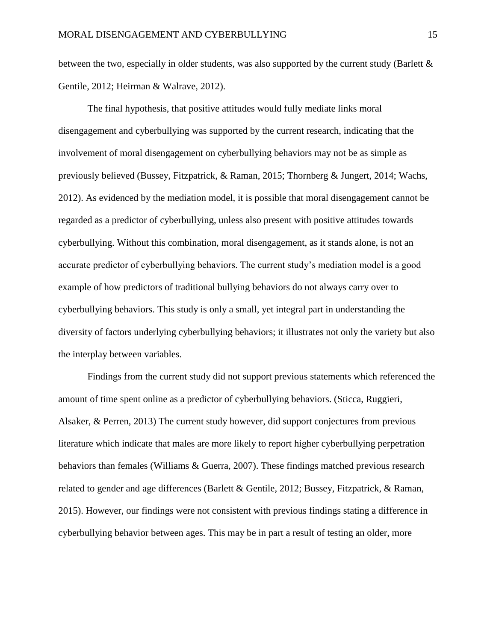between the two, especially in older students, was also supported by the current study (Barlett  $\&$ Gentile, 2012; Heirman & Walrave, 2012).

The final hypothesis, that positive attitudes would fully mediate links moral disengagement and cyberbullying was supported by the current research, indicating that the involvement of moral disengagement on cyberbullying behaviors may not be as simple as previously believed (Bussey, Fitzpatrick, & Raman, 2015; Thornberg & Jungert, 2014; Wachs, 2012). As evidenced by the mediation model, it is possible that moral disengagement cannot be regarded as a predictor of cyberbullying, unless also present with positive attitudes towards cyberbullying. Without this combination, moral disengagement, as it stands alone, is not an accurate predictor of cyberbullying behaviors. The current study's mediation model is a good example of how predictors of traditional bullying behaviors do not always carry over to cyberbullying behaviors. This study is only a small, yet integral part in understanding the diversity of factors underlying cyberbullying behaviors; it illustrates not only the variety but also the interplay between variables.

Findings from the current study did not support previous statements which referenced the amount of time spent online as a predictor of cyberbullying behaviors. (Sticca, Ruggieri, Alsaker, & Perren, 2013) The current study however, did support conjectures from previous literature which indicate that males are more likely to report higher cyberbullying perpetration behaviors than females (Williams & Guerra, 2007). These findings matched previous research related to gender and age differences (Barlett & Gentile, 2012; Bussey, Fitzpatrick, & Raman, 2015). However, our findings were not consistent with previous findings stating a difference in cyberbullying behavior between ages. This may be in part a result of testing an older, more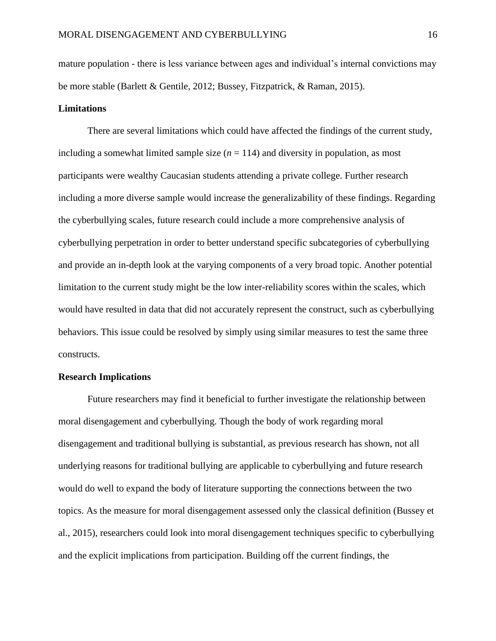mature population - there is less variance between ages and individual's internal convictions may be more stable (Barlett & Gentile, 2012; Bussey, Fitzpatrick, & Raman, 2015).

### **Limitations**

There are several limitations which could have affected the findings of the current study, including a somewhat limited sample size  $(n = 114)$  and diversity in population, as most participants were wealthy Caucasian students attending a private college. Further research including a more diverse sample would increase the generalizability of these findings. Regarding the cyberbullying scales, future research could include a more comprehensive analysis of cyberbullying perpetration in order to better understand specific subcategories of cyberbullying and provide an in-depth look at the varying components of a very broad topic. Another potential limitation to the current study might be the low inter-reliability scores within the scales, which would have resulted in data that did not accurately represent the construct, such as cyberbullying behaviors. This issue could be resolved by simply using similar measures to test the same three constructs.

### **Research Implications**

Future researchers may find it beneficial to further investigate the relationship between moral disengagement and cyberbullying. Though the body of work regarding moral disengagement and traditional bullying is substantial, as previous research has shown, not all underlying reasons for traditional bullying are applicable to cyberbullying and future research would do well to expand the body of literature supporting the connections between the two topics. As the measure for moral disengagement assessed only the classical definition (Bussey et al., 2015), researchers could look into moral disengagement techniques specific to cyberbullying and the explicit implications from participation. Building off the current findings, the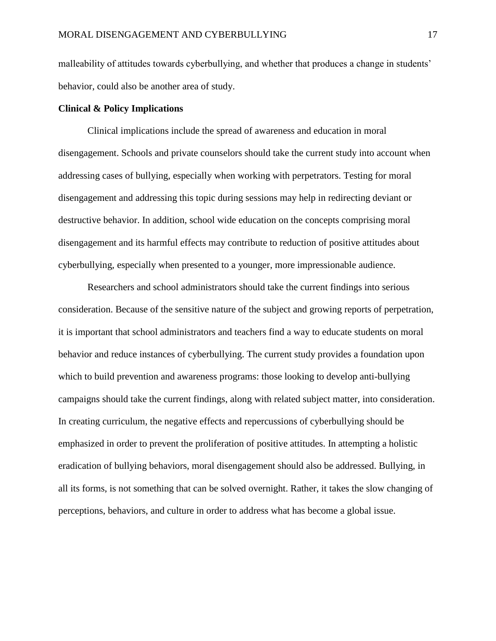malleability of attitudes towards cyberbullying, and whether that produces a change in students' behavior, could also be another area of study.

## **Clinical & Policy Implications**

Clinical implications include the spread of awareness and education in moral disengagement. Schools and private counselors should take the current study into account when addressing cases of bullying, especially when working with perpetrators. Testing for moral disengagement and addressing this topic during sessions may help in redirecting deviant or destructive behavior. In addition, school wide education on the concepts comprising moral disengagement and its harmful effects may contribute to reduction of positive attitudes about cyberbullying, especially when presented to a younger, more impressionable audience.

Researchers and school administrators should take the current findings into serious consideration. Because of the sensitive nature of the subject and growing reports of perpetration, it is important that school administrators and teachers find a way to educate students on moral behavior and reduce instances of cyberbullying. The current study provides a foundation upon which to build prevention and awareness programs: those looking to develop anti-bullying campaigns should take the current findings, along with related subject matter, into consideration. In creating curriculum, the negative effects and repercussions of cyberbullying should be emphasized in order to prevent the proliferation of positive attitudes. In attempting a holistic eradication of bullying behaviors, moral disengagement should also be addressed. Bullying, in all its forms, is not something that can be solved overnight. Rather, it takes the slow changing of perceptions, behaviors, and culture in order to address what has become a global issue.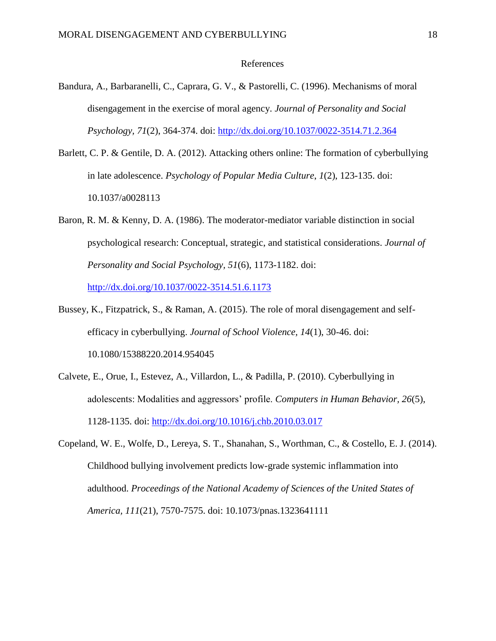#### References

- Bandura, A., Barbaranelli, C., Caprara, G. V., & Pastorelli, C. (1996). Mechanisms of moral disengagement in the exercise of moral agency. *Journal of Personality and Social Psychology, 71*(2), 364-374. doi: [http://dx.doi.org/10.1037/0022-3514.71.2.364](http://psycnet.apa.org.lib.pepperdine.edu/doi/10.1037/0022-3514.71.2.364)
- Barlett, C. P. & Gentile, D. A. (2012). Attacking others online: The formation of cyberbullying in late adolescence. *Psychology of Popular Media Culture*, *1*(2), 123-135. doi: 10.1037/a0028113
- Baron, R. M. & Kenny, D. A. (1986). The moderator-mediator variable distinction in social psychological research: Conceptual, strategic, and statistical considerations. *Journal of Personality and Social Psychology, 51*(6), 1173-1182. doi: [http://dx.doi.org/10.1037/0022-3514.51.6.1173](http://psycnet.apa.org/doi/10.1037/0022-3514.51.6.1173)
- Bussey, K., Fitzpatrick, S., & Raman, A. (2015). The role of moral disengagement and selfefficacy in cyberbullying. *Journal of School Violence, 14*(1), 30-46. doi: 10.1080/15388220.2014.954045
- Calvete, E., Orue, I., Estevez, A., Villardon, L., & Padilla, P. (2010). Cyberbullying in adolescents: Modalities and aggressors' profile. *Computers in Human Behavior, 26*(5), 1128-1135. doi: [http://dx.doi.org/10.1016/j.chb.2010.03.017](http://psycnet.apa.org.lib.pepperdine.edu/doi/10.1016/j.chb.2010.03.017)
- Copeland, W. E., Wolfe, D., Lereya, S. T., Shanahan, S., Worthman, C., & Costello, E. J. (2014). Childhood bullying involvement predicts low-grade systemic inflammation into adulthood. *Proceedings of the National Academy of Sciences of the United States of America, 111*(21), 7570-7575. doi: 10.1073/pnas.1323641111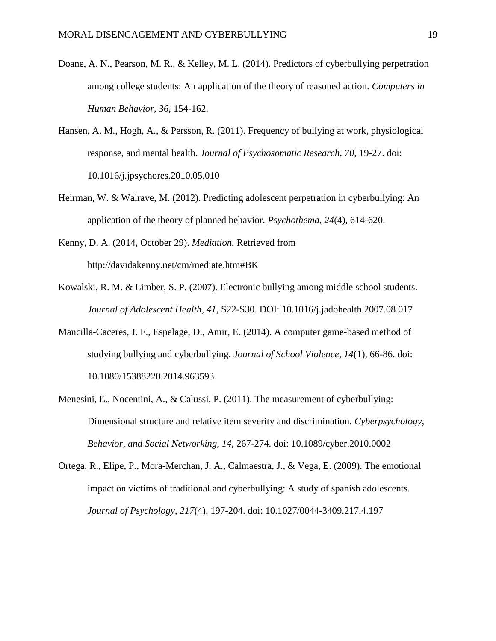- Doane, A. N., Pearson, M. R., & Kelley, M. L. (2014). Predictors of cyberbullying perpetration among college students: An application of the theory of reasoned action. *Computers in Human Behavior, 36,* 154-162.
- Hansen, A. M., Hogh, A., & Persson, R. (2011). Frequency of bullying at work, physiological response, and mental health. *Journal of Psychosomatic Research, 70,* 19-27. doi: 10.1016/j.jpsychores.2010.05.010
- Heirman, W. & Walrave, M. (2012). Predicting adolescent perpetration in cyberbullying: An application of the theory of planned behavior. *Psychothema, 24*(4), 614-620.
- Kenny, D. A. (2014, October 29). *Mediation.* Retrieved from http://davidakenny.net/cm/mediate.htm#BK
- Kowalski, R. M. & Limber, S. P. (2007). Electronic bullying among middle school students. *Journal of Adolescent Health, 41*, S22-S30. DOI: 10.1016/j.jadohealth.2007.08.017
- Mancilla-Caceres, J. F., Espelage, D., Amir, E. (2014). A computer game-based method of studying bullying and cyberbullying. *Journal of School Violence, 14*(1), 66-86. doi: 10.1080/15388220.2014.963593
- Menesini, E., Nocentini, A., & Calussi, P. (2011). The measurement of cyberbullying: Dimensional structure and relative item severity and discrimination. *Cyberpsychology, Behavior, and Social Networking, 14*, 267-274. doi: 10.1089/cyber.2010.0002
- Ortega, R., Elipe, P., Mora-Merchan, J. A., Calmaestra, J., & Vega, E. (2009). The emotional impact on victims of traditional and cyberbullying: A study of spanish adolescents. *Journal of Psychology, 217*(4), 197-204. doi: 10.1027/0044-3409.217.4.197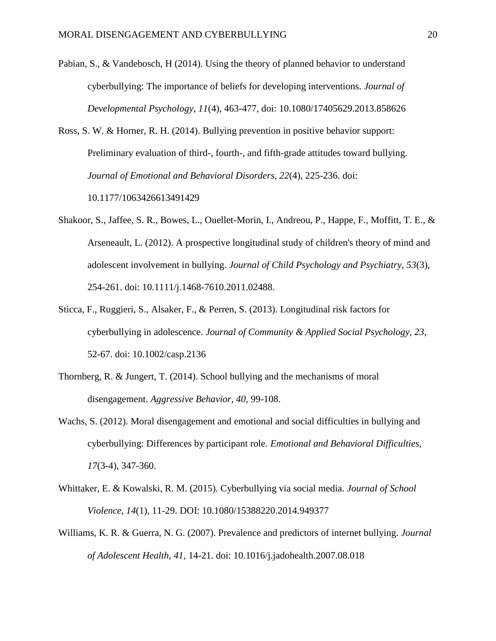- Pabian, S., & Vandebosch, H (2014). Using the theory of planned behavior to understand cyberbullying: The importance of beliefs for developing interventions. *Journal of Developmental Psychology, 11*(4), 463-477, doi: 10.1080/17405629.2013.858626
- Ross, S. W. & Horner, R. H. (2014). Bullying prevention in positive behavior support: Preliminary evaluation of third-, fourth-, and fifth-grade attitudes toward bullying. *Journal of Emotional and Behavioral Disorders, 22*(4), 225-236. doi: 10.1177/1063426613491429
- Shakoor, S., Jaffee, S. R., Bowes, L., Ouellet-Morin, I., Andreou, P., Happe, F., Moffitt, T. E., & Arseneault, L. (2012). A prospective longitudinal study of children's theory of mind and adolescent involvement in bullying. *Journal of Child Psychology and Psychiatry, 53*(3), 254-261. doi: 10.1111/j.1468-7610.2011.02488.
- Sticca, F., Ruggieri, S., Alsaker, F., & Perren, S. (2013). Longitudinal risk factors for cyberbullying in adolescence. *Journal of Community & Applied Social Psychology, 23,* 52-67. doi: 10.1002/casp.2136
- Thornberg, R. & Jungert, T. (2014). School bullying and the mechanisms of moral disengagement. *Aggressive Behavior, 40,* 99-108.
- Wachs, S. (2012). Moral disengagement and emotional and social difficulties in bullying and cyberbullying: Differences by participant role. *Emotional and Behavioral Difficulties, 17*(3-4), 347-360.
- Whittaker, E. & Kowalski, R. M. (2015). Cyberbullying via social media. *Journal of School Violence, 14*(1), 11-29. DOI: 10.1080/15388220.2014.949377
- Williams, K. R. & Guerra, N. G. (2007). Prevalence and predictors of internet bullying. *Journal of Adolescent Health, 41,* 14-21. doi: 10.1016/j.jadohealth.2007.08.018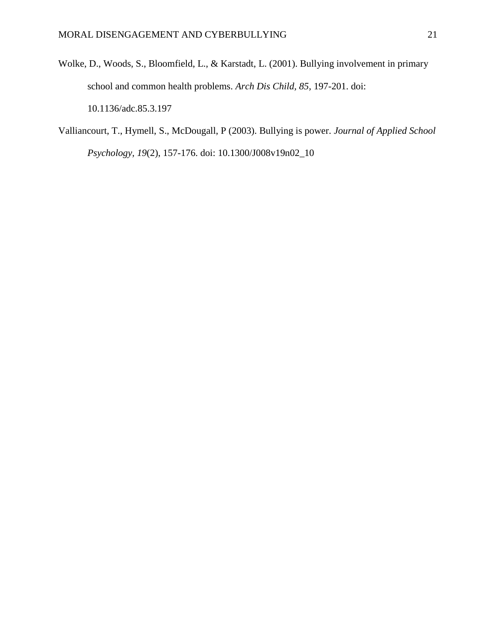- Wolke, D., Woods, S., Bloomfield, L., & Karstadt, L. (2001). Bullying involvement in primary school and common health problems. *Arch Dis Child, 85,* 197-201. doi: 10.1136/adc.85.3.197
- Valliancourt, T., Hymell, S., McDougall, P (2003). Bullying is power. *Journal of Applied School Psychology, 19*(2), 157-176. doi: 10.1300/J008v19n02\_10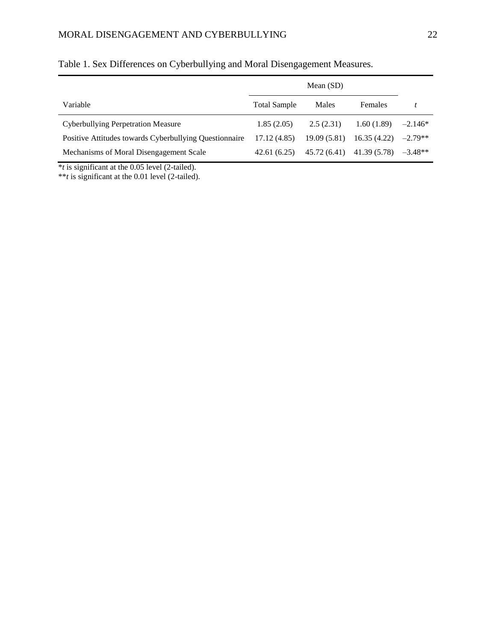# MORAL DISENGAGEMENT AND CYBERBULLYING 22

|                                                        | Mean $(SD)$         |             |                           |           |
|--------------------------------------------------------|---------------------|-------------|---------------------------|-----------|
| Variable                                               | <b>Total Sample</b> | Males       | Females                   |           |
| <b>Cyberbullying Perpetration Measure</b>              | 1.85(2.05)          | 2.5(2.31)   | 1.60(1.89)                | $-2.146*$ |
| Positive Attitudes towards Cyberbullying Questionnaire | 17.12(4.85)         | 19.09(5.81) | 16.35(4.22)               | $-2.79**$ |
| Mechanisms of Moral Disengagement Scale                | 42.61(6.25)         |             | 45.72 (6.41) 41.39 (5.78) | $-3.48**$ |

# Table 1. Sex Differences on Cyberbullying and Moral Disengagement Measures.

\**t* is significant at the 0.05 level (2-tailed).

\*\**t* is significant at the 0.01 level (2-tailed).